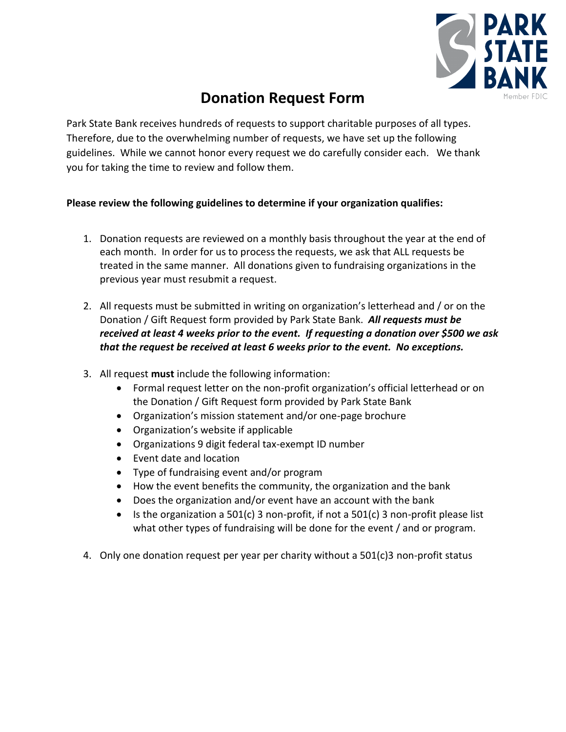

# **Donation Request Form**

Park State Bank receives hundreds of requests to support charitable purposes of all types. Therefore, due to the overwhelming number of requests, we have set up the following guidelines. While we cannot honor every request we do carefully consider each. We thank you for taking the time to review and follow them.

## **Please review the following guidelines to determine if your organization qualifies:**

- 1. Donation requests are reviewed on a monthly basis throughout the year at the end of each month. In order for us to process the requests, we ask that ALL requests be treated in the same manner. All donations given to fundraising organizations in the previous year must resubmit a request.
- 2. All requests must be submitted in writing on organization's letterhead and / or on the Donation / Gift Request form provided by Park State Bank. *All requests must be received at least 4 weeks prior to the event. If requesting a donation over \$500 we ask that the request be received at least 6 weeks prior to the event. No exceptions.*
- 3. All request **must** include the following information:
	- Formal request letter on the non-profit organization's official letterhead or on the Donation / Gift Request form provided by Park State Bank
	- Organization's mission statement and/or one-page brochure
	- Organization's website if applicable
	- Organizations 9 digit federal tax-exempt ID number
	- Event date and location
	- Type of fundraising event and/or program
	- How the event benefits the community, the organization and the bank
	- Does the organization and/or event have an account with the bank
	- If the organization a 501(c) 3 non-profit, if not a 501(c) 3 non-profit please list what other types of fundraising will be done for the event / and or program.
- 4. Only one donation request per year per charity without a 501(c)3 non-profit status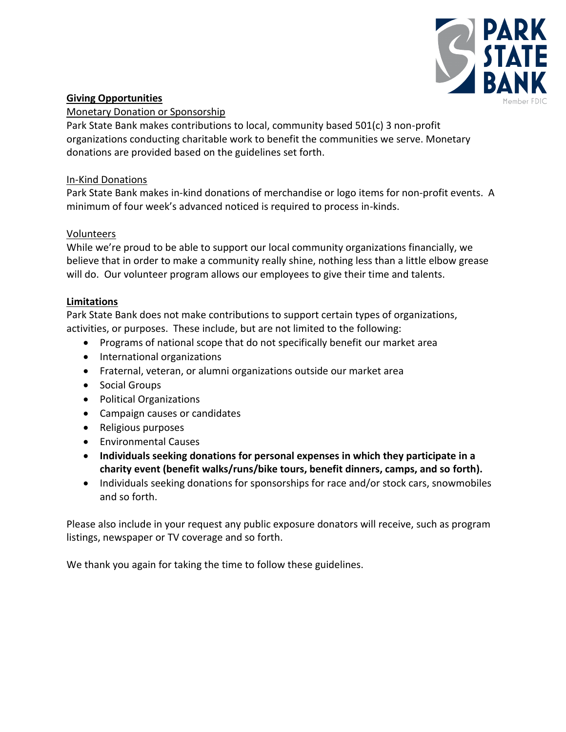

## **Giving Opportunities**

#### Monetary Donation or Sponsorship

Park State Bank makes contributions to local, community based 501(c) 3 non-profit organizations conducting charitable work to benefit the communities we serve. Monetary donations are provided based on the guidelines set forth.

### In-Kind Donations

Park State Bank makes in-kind donations of merchandise or logo items for non-profit events. A minimum of four week's advanced noticed is required to process in-kinds.

### Volunteers

While we're proud to be able to support our local community organizations financially, we believe that in order to make a community really shine, nothing less than a little elbow grease will do. Our volunteer program allows our employees to give their time and talents.

#### **Limitations**

Park State Bank does not make contributions to support certain types of organizations, activities, or purposes. These include, but are not limited to the following:

- Programs of national scope that do not specifically benefit our market area
- International organizations
- Fraternal, veteran, or alumni organizations outside our market area
- Social Groups
- Political Organizations
- Campaign causes or candidates
- Religious purposes
- Environmental Causes
- **Individuals seeking donations for personal expenses in which they participate in a charity event (benefit walks/runs/bike tours, benefit dinners, camps, and so forth).**
- Individuals seeking donations for sponsorships for race and/or stock cars, snowmobiles and so forth.

Please also include in your request any public exposure donators will receive, such as program listings, newspaper or TV coverage and so forth.

We thank you again for taking the time to follow these guidelines.